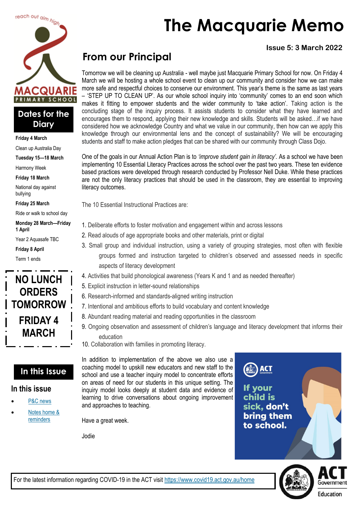

#### **Dates for the Diary**

**Friday 4 March**

Clean up Australia Day

**Tuesday 15—18 March**

Harmony Week

**Friday 18 March**

National day against bullying

**Friday 25 March**

Ride or walk to school day

**Monday 28 March—Friday 1 April**

Year 2 Aquasafe TBC

**Friday 8 April**

Term 1 ends



### **In this Issue**

#### **In this issue**

- [P&C news](#page-1-0)
- Notes home & [reminders](#page-3-0)

# **The Macquarie Memo**

#### **Issue 5: 3 March 2022**

# **From our Principal**

Tomorrow we will be cleaning up Australia - well maybe just Macquarie Primary School for now. On Friday 4 March we will be hosting a whole school event to clean up our community and consider how we can make more safe and respectful choices to conserve our environment. This year's theme is the same as last years – 'STEP UP TO CLEAN UP'. As our whole school inquiry into 'community' comes to an end soon which makes it fitting to empower students and the wider community to 'take action'. Taking action is the concluding stage of the inquiry process. It assists students to consider what they have learned and encourages them to respond, applying their new knowledge and skills. Students will be asked…if we have considered how we acknowledge Country and what we value in our community, then how can we apply this knowledge through our environmental lens and the concept of sustainability? We will be encouraging students and staff to make action pledges that can be shared with our community through Class Dojo.

One of the goals in our Annual Action Plan is to *'improve student gain in literacy'.* As a school we have been implementing 10 Essential Literacy Practices across the school over the past two years. These ten evidence based practices were developed through research conducted by Professor Nell Duke. While these practices are not the only literacy practices that should be used in the classroom, they are essential to improving literacy outcomes.

The 10 Essential Instructional Practices are:

- 1. Deliberate efforts to foster motivation and engagement within and across lessons
- 2. Read alouds of age appropriate books and other materials, print or digital
- 3. Small group and individual instruction, using a variety of grouping strategies, most often with flexible groups formed and instruction targeted to children's observed and assessed needs in specific aspects of literacy development
- 4. Activities that build phonological awareness (Years K and 1 and as needed thereafter)
- 5. Explicit instruction in letter-sound relationships
- 6. Research-informed and standards-aligned writing instruction
- 7. Intentional and ambitious efforts to build vocabulary and content knowledge
- 8. Abundant reading material and reading opportunities in the classroom
- 9. Ongoing observation and assessment of children's language and literacy development that informs their education
- 10. Collaboration with families in promoting literacy.

In addition to implementation of the above we also use a coaching model to upskill new educators and new staff to the school and use a teacher inquiry model to concentrate efforts on areas of need for our students in this unique setting. The inquiry model looks deeply at student data and evidence of learning to drive conversations about ongoing improvement and approaches to teaching.

Have a great week.

Jodie

**ACT vour** child is sick, don't **bring them** to school.

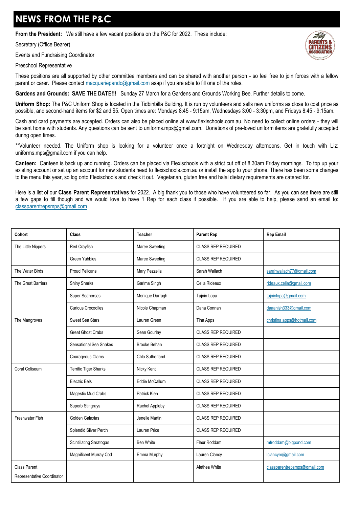# <span id="page-1-0"></span>**NEWS FROM THE P&C**

**From the President:** We still have a few vacant positions on the P&C for 2022. These include:

Secretary (Office Bearer)

Events and Fundraising Coordinator

#### Preschool Representative

These positions are all supported by other committee members and can be shared with another person - so feel free to join forces with a fellow parent or carer. Please contact [macquariepandc@gmail.com](mailto:macquariepandc@gmail.com) asap if you are able to fill one of the roles.

**Gardens and Grounds: SAVE THE DATE!!!** Sunday 27 March for a Gardens and Grounds Working Bee. Further details to come.

**Uniform Shop:** The P&C Uniform Shop is located in the Tidbinbilla Building. It is run by volunteers and sells new uniforms as close to cost price as possible, and second-hand items for \$2 and \$5. Open times are: Mondays 8:45 - 9:15am, Wednesdays 3:00 - 3:30pm, and Fridays 8:45 - 9:15am.

Cash and card payments are accepted. Orders can also be placed online at [www.flexischools.com.au.](https://aus01.safelinks.protection.outlook.com/?url=http%3A%2F%2Fwww.flexischools.com.au%2F&data=04%7C01%7C%7Ca133477efdc2489316ce08d9f7eee20d%7Cf1d4a8326c2144759bf48cc7e9044a29%7C0%7C0%7C637813427797941352%7CUnknown%7CTWFpbGZsb3d8eyJWIjoiMC4wLjAwMDAiLCJQIjoi) No need to collect online orders - they will be sent home with students. Any questions can be sent to [uniforms.mps@gmail.com.](mailto:uniforms.mps@gmail.com) Donations of pre-loved uniform items are gratefully accepted during open times.

\*\*Volunteer needed. The Uniform shop is looking for a volunteer once a fortnight on Wednesday afternoons. Get in touch with Liz: [uniforms.mps@gmail.com i](mailto:uniforms.mps@gmail.com)f you can help.

**Canteen:** Canteen is back up and running. Orders can be placed via Flexischools with a strict cut off of 8.30am Friday mornings. To top up your existing account or set up an account for new students head to flexischools.com.au or install the app to your phone. There has been some changes to the menu this year, so log onto Flexischools and check it out. Vegetarian, gluten free and halal dietary requirements are catered for.

Here is a list of our **Class Parent Representatives** for 2022. A big thank you to those who have volunteered so far. As you can see there are still a few gaps to fill though and we would love to have 1 Rep for each class if possible. If you are able to help, please send an email to: [classparentrepsmps@gmail.com](mailto:classparentrepsmps@gmail.com)

| Cohort                                            | Class                          | <b>Teacher</b>      | <b>Parent Rep</b>         | <b>Rep Email</b>             |
|---------------------------------------------------|--------------------------------|---------------------|---------------------------|------------------------------|
| The Little Nippers                                | Red Crayfish                   | Maree Sweeting      | <b>CLASS REP REQUIRED</b> |                              |
|                                                   | <b>Green Yabbies</b>           | Maree Sweeting      | <b>CLASS REP REQUIRED</b> |                              |
| The Water Birds                                   | <b>Proud Pelicans</b>          | Mary Pezzella       | Sarah Wallach             | sarahwallach77@gmail.com     |
| The Great Barriers                                | <b>Shiny Sharks</b>            | Garima Singh        | Celia Rideaux             | rideaux.celia@gmail.com      |
|                                                   | Super Seahorses                | Monique Darragh     | Tajnin Lopa               | tajninlopa@gmail.com         |
|                                                   | Curious Crocodiles             | Nicole Chapman      | Dana Connan               | daaanish333@gmail.com        |
| The Mangroves                                     | Sweet Sea Stars                | Lauren Green        | Tina Apps                 | christina.apps@hotmail.com   |
|                                                   | <b>Great Ghost Crabs</b>       | Sean Gourlay        | <b>CLASS REP REQUIRED</b> |                              |
|                                                   | <b>Sensational Sea Snakes</b>  | <b>Brooke Behan</b> | <b>CLASS REP REQUIRED</b> |                              |
|                                                   | Courageous Clams               | Chlo Sutherland     | <b>CLASS REP REQUIRED</b> |                              |
| Coral Coliseum                                    | Terrific Tiger Sharks          | Nicky Kent          | <b>CLASS REP REQUIRED</b> |                              |
|                                                   | <b>Electric Eels</b>           | Eddie McCallum      | <b>CLASS REP REQUIRED</b> |                              |
|                                                   | Magestic Mud Crabs             | Patrick Kien        | <b>CLASS REP REQUIRED</b> |                              |
|                                                   | Superb Stingrays               | Rachel Appleby      | <b>CLASS REP REQUIRED</b> |                              |
| Freshwater Fish                                   | Golden Galaxias                | Jenelle Martin      | <b>CLASS REP REQUIRED</b> |                              |
|                                                   | Splendid Silver Perch          | Lauren Price        | <b>CLASS REP REQUIRED</b> |                              |
|                                                   | <b>Scintillating Saratogas</b> | <b>Ben White</b>    | Fleur Roddam              | mfroddam@bigpond.com         |
|                                                   | Magnificent Murray Cod         | Emma Murphy         | Lauren Clancy             | Iclancym@gmail.com           |
| <b>Class Parent</b><br>Representative Coordinator |                                |                     | Alethea White             | classparentrepsmps@gmail.com |

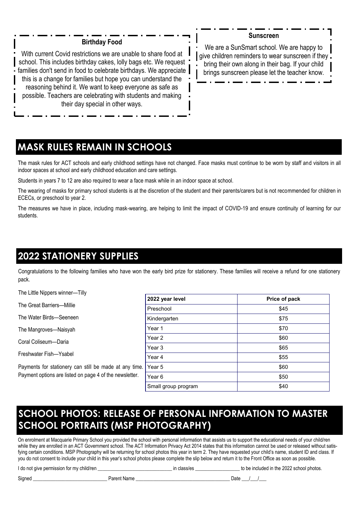#### **Birthday Food**

With current Covid restrictions we are unable to share food at school. This includes birthday cakes, lolly bags etc. We request families don't send in food to celebrate birthdays. We appreciate this is a change for families but hope you can understand the reasoning behind it. We want to keep everyone as safe as possible. Teachers are celebrating with students and making their day special in other ways.

#### **Sunscreen**

We are a SunSmart school. We are happy to give children reminders to wear sunscreen if they. bring their own along in their bag. If your child brings sunscreen please let the teacher know.

# **MASK RULES REMAIN IN SCHOOLS**

The mask rules for ACT schools and early childhood settings have not changed. Face masks must continue to be worn by staff and visitors in all indoor spaces at school and early childhood education and care settings.

Students in years 7 to 12 are also required to wear a face mask while in an indoor space at school.

The wearing of masks for primary school students is at the discretion of the student and their parents/carers but is not recommended for children in ECECs, or preschool to year 2.

The measures we have in place, including mask-wearing, are helping to limit the impact of COVID-19 and ensure continuity of learning for our students.

# **2022 STATIONERY SUPPLIES**

Congratulations to the following families who have won the early bird prize for stationery. These families will receive a refund for one stationery pack.

The Little Nippers winner—Tilly

The Great Barriers—Millie

The Water Birds—Seeneen

The Mangroves—Naisyah

Coral Coliseum—Daria

Freshwater Fish—Ysabel

Payments for stationery can still be made at any time. Payment options are listed on page 4 of the newsletter.

| 2022 year level     | Price of pack |  |  |
|---------------------|---------------|--|--|
| Preschool           | \$45          |  |  |
| Kindergarten        | \$75          |  |  |
| Year 1              | \$70          |  |  |
| Year 2              | \$60          |  |  |
| Year 3              | \$65          |  |  |
| Year 4              | \$55          |  |  |
| Year 5              | \$60          |  |  |
| Year 6              | \$50          |  |  |
| Small group program | \$40          |  |  |

# **SCHOOL PHOTOS: RELEASE OF PERSONAL INFORMATION TO MASTER SCHOOL PORTRAITS (MSP PHOTOGRAPHY)**

On enrolment at Macquarie Primary School you provided the school with personal information that assists us to support the educational needs of your child/ren while they are enrolled in an ACT Government school. The ACT Information Privacy Act 2014 states that this information cannot be used or released without satisfying certain conditions. MSP Photography will be returning for school photos this year in term 2. They have requested your child's name, student ID and class. If you do not consent to include your child in this year's school photos please complete the slip below and return it to the Front Office as soon as possible.

I do not give permission for my child/ren \_\_\_\_\_\_\_\_\_\_\_\_\_\_\_\_\_\_\_\_\_\_\_\_\_\_\_\_\_\_ in class/es \_\_\_\_\_\_\_\_\_\_\_\_\_\_\_\_\_\_ to be included in the 2022 school photos.

Signed \_\_\_\_\_\_\_\_\_\_\_\_\_\_\_\_\_\_\_\_\_\_\_\_\_\_\_\_\_\_ Parent Name \_\_\_\_\_\_\_\_\_\_\_\_\_\_\_\_\_\_\_\_\_\_\_\_\_\_\_\_\_\_\_\_\_\_\_\_\_\_ Date \_\_\_/\_\_\_/\_\_\_